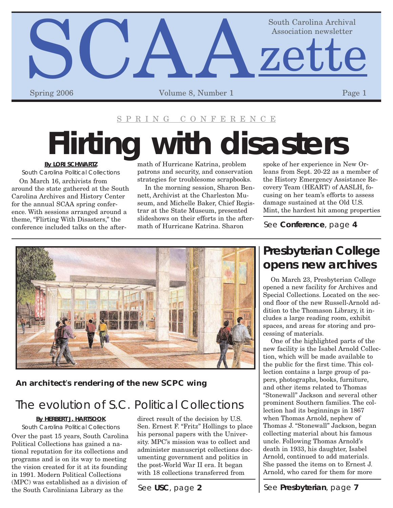

#### SPRING CONFERENCE

# **Flirting with disasters**

**By LORI SCHWARTZ**

*South Carolina Political Collections*

On March 16, archivists from around the state gathered at the South Carolina Archives and History Center for the annual SCAA spring conference. With sessions arranged around a theme, "Flirting With Disasters," the conference included talks on the aftermath of Hurricane Katrina, problem patrons and security, and conservation strategies for troublesome scrapbooks.

In the morning session, Sharon Bennett, Archivist at the Charleston Museum, and Michelle Baker, Chief Registrar at the State Museum, presented slideshows on their efforts in the aftermath of Hurricane Katrina. Sharon

spoke of her experience in New Orleans from Sept. 20-22 as a member of the History Emergency Assistance Recovery Team (HEART) of AASLH, focusing on her team's efforts to assess damage sustained at the Old U.S. Mint, the hardest hit among properties

See **Conference**, page **4**



#### **An architect**'**s rendering of the new SCPC wing**

## The evolution of S.C. Political Collections

#### **By HERBERT J. HARTSOOK**

*South Carolina Political Collections* Over the past 15 years, South Carolina Political Collections has gained a national reputation for its collections and programs and is on its way to meeting the vision created for it at its founding in 1991. Modern Political Collections (MPC) was established as a division of the South Caroliniana Library as the

direct result of the decision by U.S. Sen. Ernest F. "Fritz" Hollings to place his personal papers with the University. MPC's mission was to collect and administer manuscript collections documenting government and politics in the post-World War II era. It began with 18 collections transferred from

## **Presbyterian College opens new archives**

On March 23, Presbyterian College opened a new facility for Archives and Special Collections. Located on the second floor of the new Russell-Arnold addition to the Thomason Library, it includes a large reading room, exhibit spaces, and areas for storing and processing of materials.

One of the highlighted parts of the new facility is the Isabel Arnold Collection, which will be made available to the public for the first time. This collection contains a large group of papers, photographs, books, furniture, and other items related to Thomas "Stonewall" Jackson and several other prominent Southern families. The collection had its beginnings in 1867 when Thomas Arnold, nephew of Thomas J. "Stonewall" Jackson, began collecting material about his famous uncle. Following Thomas Arnold's death in 1933, his daughter, Isabel Arnold, continued to add materials. She passed the items on to Ernest J. Arnold, who cared for them for more

See **USC**, page **2** See Presbyterian, page 7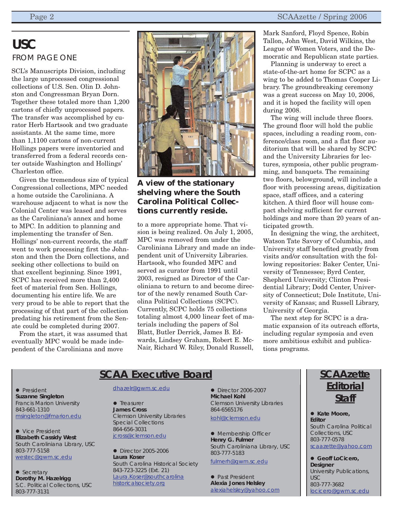## **USC** FROM PAGE ONE

SCL's Manuscripts Division, including the large unprocessed congressional collections of U.S. Sen. Olin D. Johnston and Congressman Bryan Dorn. Together these totaled more than 1,200 cartons of chiefly unprocessed papers. The transfer was accomplished by curator Herb Hartsook and two graduate assistants. At the same time, more than 1,1100 cartons of non-current Hollings papers were inventoried and transferred from a federal records center outside Washington and Hollings' Charleston office.

Given the tremendous size of typical Congressional collections, MPC needed a home outside the Caroliniana. A warehouse adjacent to what is now the Colonial Center was leased and serves as the Caroliniana's annex and home to MPC. In addition to planning and implementing the transfer of Sen. Hollings' non-current records, the staff went to work processing first the Johnston and then the Dorn collections, and seeking other collections to build on that excellent beginning. Since 1991, SCPC has received more than 2,400 feet of material from Sen. Hollings, documenting his entire life. We are very proud to be able to report that the processing of that part of the collection predating his retirement from the Senate could be completed during 2007.

From the start, it was assumed that eventually MPC would be made independent of the Caroliniana and move



#### **A view of the stationary shelving where the South Carolina Political Collections currently reside.**

to a more appropriate home. That vision is being realized. On July 1, 2005, MPC was removed from under the Caroliniana Library and made an independent unit of University Libraries. Hartsook, who founded MPC and served as curator from 1991 until 2003, resigned as Director of the Caroliniana to return to and become director of the newly renamed South Carolina Political Collections (SCPC). Currently, SCPC holds 75 collections totaling almost 4,000 linear feet of materials including the papers of Sol Blatt, Butler Derrick, James B. Edwards, Lindsey Graham, Robert E. Mc-Nair, Richard W. Riley, Donald Russell,

Mark Sanford, Floyd Spence, Robin Tallon, John West, David Wilkins, the League of Women Voters, and the Democratic and Republican state parties.

Planning is underway to erect a state-of-the-art home for SCPC as a wing to be added to Thomas Cooper Library. The groundbreaking ceremony was a great success on May 10, 2006, and it is hoped the facility will open during 2008.

The wing will include three floors. The ground floor will hold the public spaces, including a reading room, conference/class room, and a flat floor auditorium that will be shared by SCPC and the University Libraries for lectures, symposia, other public programming, and banquets. The remaining two floors, belowground, will include a floor with processing areas, digitization space, staff offices, and a catering kitchen. A third floor will house compact shelving sufficient for current holdings and more than 20 years of anticipated growth.

In designing the wing, the architect, Watson Tate Savory of Columbia, and University staff benefited greatly from visits and/or consultation with the following repositories: Baker Center, University of Tennessee; Byrd Center, Shepherd University; Clinton Presidential Library; Dodd Center, University of Connecticut; Dole Institute, University of Kansas; and Russell Library, University of Georgia.

The next step for SCPC is a dramatic expansion of its outreach efforts, including regular symposia and even more ambitious exhibit and publications programs.

### **SCAA Executive Board**

• President **Suzanne Singleton** Francis Marion University 843-661-1310 [msingleton@fmarion.edu](mailto:msingleton@fmarion.edu)

• Vice President **Elizabeth Cassidy West** South Caroliniana Library, USC 803-777-5158 [westec@gwm.sc.edu](mailto:westec@gwm.sc.edu)

 $\bullet$  Secretary **Dorothy M. Hazelrigg** S.C. Political Collections, USC 803-777-3131

#### [dhazelr@gwm.sc.edu](mailto:dhazelr@gwm.sc.edu)

 $\bullet$  Treasurer **James Cross** Clemson University Libraries Special Collections 864-656-3031 [jcross@clemson.edu](mailto:jcross@clemson.edu)

 $\bullet$  Director 2005-2006 **Laura Koser** South Carolina Historical Society 843-723-3225 (Ext. 21) [Laura.Koser@southcarolina](mailto:Laura.Koser@southcarolinahistoricalsociety.org) historicalsociety.org

**•** Director 2006-2007 **Michael Kohl** Clemson University Libraries 864-6565176 [kohl@clemson.edu](mailto:kohl@clemson.edu)

• Membership Officer **Henry G. Fulmer** South Caroliniana Library, USC 803-777-5183

[fulmerh@gwm.sc.edu](mailto:fulmerh@gwm.sc.edu)

• Past President **Alexia Jones Helsley** [alexiahelsley@yahoo.com](mailto:alexiahelsley@yahoo.com)

## **SCAAzette Editorial Staff**

● Kate Moore, **Editor** South Carolina Political Collections, USC 803-777-0578 [scaazette@yahoo.com](mailto:scaazette@yahoo.com)

 $\bullet$  **Geoff LoCicero, Designer** University Publications, USC 803-777-3682 [locicero@gwm.sc.edu](mailto:locicero@gwm.sc.edu)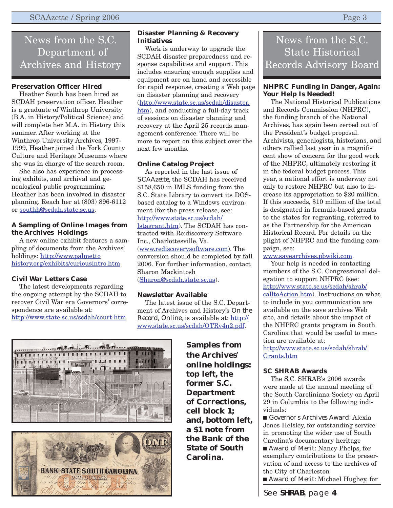## News from the S.C. Department of Archives and History

#### **Preservation Officer Hired**

Heather South has been hired as SCDAH preservation officer. Heather is a graduate of Winthrop University (B.A. in History/Political Science) and will complete her M.A. in History this summer. After working at the Winthrop University Archives, 1997- 1999, Heather joined the York County Culture and Heritage Museums where she was in charge of the search room.

She also has experience in processing exhibits, and archival and genealogical public programming. Heather has been involved in disaster planning. Reach her at (803) 896-6112 or [southh@scdah.state.sc.us](mailto:southh@scdah.state.sc.us).

#### **A Sampling of Online Images from the Archives Holdings**

A new online exhibit features a sampling of documents from the Archives' holdings: http://www.palmetto [history.org/exhibits/curiousintro.htm](http://www.palmettohistory.org/exhibits/curiousintro.htm)

#### **Civil War Letters Case**

The latest developments regarding the ongoing attempt by the SCDAH to recover Civil War era Governors' correspondence are available at: <http://www.state.sc.us/scdah/court.htm>

#### **Disaster Planning & Recovery Initiatives**

Work is underway to upgrade the SCDAH disaster preparedness and response capabilities and support. This includes ensuring enough supplies and equipment are on hand and accessible for rapid response, creating a Web page on disaster planning and recovery [\(http://www.state.sc.us/scdah/disaster.](http://www.state.sc.us/scdah/disaster.htm) htm), and conducting a full-day track of sessions on disaster planning and recovery at the April 25 records management conference. There will be more to report on this subject over the next few months.

#### **Online Catalog Project**

As reported in the last issue of *SCAAzette*, the SCDAH has received \$158,650 in IMLS funding from the S.C. State Library to convert its DOSbased catalog to a Windows environment (for the press release, see: http://www.state.sc.us/scdah/ [lstagrant.htm\). The SCDAH](http://www.state.sc.us/scdah/lstagrant.htm) has contracted with Re:discovery Software Inc., Charlottesville, Va. [\(www.rediscoverysoftware.com](www.rediscoverysoftware.com)). The conversion should be completed by fall 2006. For further information, contact Sharon Mackintosh [\(Sharon@scdah.state.sc.us](mailto:Sharon@scdah.state.sc.us)).

#### **Newsletter Available**

The latest issue of the S.C. Department of Archives and History's *On the Record, Online*, is available at: http:// [www.state.sc.us/scdah/OTRv4n2.pdf.](http://www.state.sc.us/scdah/OTRv4n2.pdf)

> **Samples from the Archives**' **online holdings: top left, the former S.C. Department of Corrections, cell block 1; and, bottom left, a \$1 note from the Bank of the State of South Carolina.**

## News from the S.C. State Historical Records Advisory Board

#### **NHPRC Funding in Danger, Again: Your Help Is Needed!**

The National Historical Publications and Records Commission (NHPRC), the funding branch of the National Archives, has again been zeroed out of the President's budget proposal. Archivists, genealogists, historians, and others rallied last year in a magnificent show of concern for the good work of the NHPRC, ultimately restoring it in the federal budget process. This year, a national effort is underway not only to restore NHPRC but also to increase its appropriation to \$20 million. If this succeeds, \$10 million of the total is designated in formula-based grants to the states for regranting, referred to as the Partnership for the American Historical Record. For details on the plight of NHPRC and the funding campaign, see:

[www.savearchives.pbwiki.com.](www.savearchives.pbwiki.com)

Your help is needed in contacting members of the S.C. Congressional delegation to support NHPRC (see: http://www.state.sc.us/scdah/shrab/ [calltoAction.htm\). Instructions on w](http://www.state.sc.us/scdah/shrab/calltoAction.htm)hat to include in you communication are available on the save archives Web site, and details about the impact of the NHPRC grants program in South Carolina that would be useful to mention are available at: [http://www.state.sc.us/scdah/shrab/](http://www.state.sc.us/scdah/shrab/Grants.htm)

Grants.htm

#### **SC SHRAB Awards**

The S.C. SHRAB's 2006 awards were made at the annual meeting of the South Caroliniana Society on April 29 in Columbia to the following individuals:

■ *Governor s Archives Award:* Alexia Jones Helsley, for outstanding service in promoting the wider use of South Carolina's documentary heritage

■ *Award of Merit:* Nancy Phelps, for exemplary contributions to the preservation of and access to the archives of the City of Charleston

■ *Award of Merit:* Michael Hughey, for

See **SHRAB**, page **4**



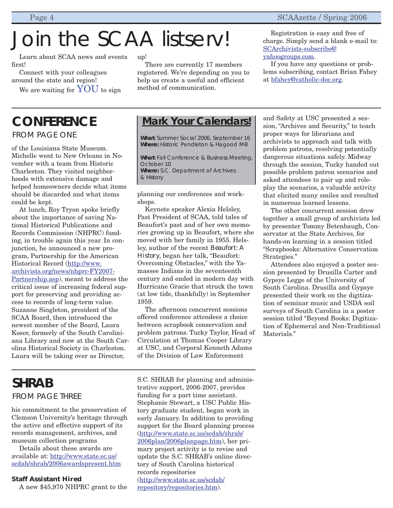# Join the SCAA listserv!

Learn about SCAA news and events first!

Connect with your colleagues around the state and region! We are waiting for  $\text{YOU}$  to sign

## **CONFERENCE**

FROM PAGE ONE

of the Louisiana State Museum. Michelle went to New Orleans in November with a team from Historic Charleston. They visited neighborhoods with extensive damage and helped homeowners decide what items should be discarded and what items could be kept.

At lunch, Roy Tryon spoke briefly about the importance of saving National Historical Publications and Records Commission (NHPRC) funding, in trouble again this year. In conjunction, he announced a new program, Partnership for the American Historical Record (http://www. [archivists.org/news/nhprc-FY2007-](http://www.archivists.org/news/nhprc-FY2007-Partnership.asp) Partnership.asp), meant to address the critical issue of increasing federal support for preserving and providing access to records of long-term value. Suzanne Singleton, president of the SCAA Board, then introduced the newest member of the Board, Laura Koser, formerly of the South Caroliniana Library and now at the South Carolina Historical Society in Charleston. Laura will be taking over as Director,

## **SHRAB** FROM PAGF THRFF

his commitment to the preservation of Clemson University's heritage through the active and effective support of its records management, archives, and museum collection programs

Details about these awards are available at: http://www.state.sc.us/ [scdah/shrab/2006awardspresent.htm](http://www.state.sc.us/scdah/shrab/2006awardspresent.htm)

#### **Staff Assistant Hired**

A new \$45,970 NHPRC grant to the

up!

There are currently 17 members registered. We're depending on you to help us create a useful and efficient method of communication.

Registration is easy and free of charge. Simply send a blank e-mail to: [SCArchivists-subscribe@](mailto:SCArchivists-subscribe@yahoogroups.com) yahoogroups.com.

If you have any questions or problems subscribing, contact Brian Fahey at [bfahey@catholic-doc.org.](mailto:bfahey@catholic-doc.org)

## **Mark Your Calendars!**

**What:** Summer Social 2006, September 16 **Where:** Historic Pendleton & Hagood Mill

**What:** Fall Conference & Business Meeting, October 10 **Where:** S.C. Department of Archives & History

planning our conferences and workshops.

Keynote speaker Alexia Helsley, Past President of SCAA, told tales of Beaufort's past and of her own memories growing up in Beaufort, where she moved with her family in 1955. Helsley, author of the recent *Beaufort: A History*, began her talk, "Beaufort: Overcoming Obstacles," with the Yamassee Indians in the seventeenth century and ended in modern day with Hurricane Gracie that struck the town (at low tide, thankfully) in September 1959.

The afternoon concurrent sessions offered conference attendees a choice between scrapbook conservation and problem patrons. Tucky Taylor, Head of Circulation at Thomas Cooper Library at USC, and Corporal Kenneth Adams of the Division of Law Enforcement

S.C. SHRAB for planning and administrative support, 2006-2007, provides funding for a part time assistant. Stephanie Stewart, a USC Public History graduate student, began work in early January. In addition to providing support for the Board planning process [\(http://www.state.sc.us/scdah/shrab/](http://www.state.sc.us/scdah/shrab/2006plan/2006planpage.htm) 2006plan/2006planpage.htm), her primary project activity is to revise and update the S.C. SHRAB's online directory of South Carolina historical records repositories [\(http://www.state.sc.us/scdah/](http://www.state.sc.us/scdah/repository/repositories.htm) repository/repositories.htm).

and Safety at USC presented a session, "Archives and Security," to teach proper ways for librarians and archivists to approach and talk with problem patrons, resolving potentially dangerous situations safely. Midway through the session, Tucky handed out possible problem patron scenarios and asked attendees to pair up and roleplay the scenarios, a valuable activity that elicited many smiles and resulted in numerous learned lessons.

The other concurrent session drew together a small group of archivists led by presenter Tommy Betenbaugh, Conservator at the State Archives, for hands-on learning in a session titled "Scrapbooks: Alternative Conservation Strategies."

Attendees also enjoyed a poster session presented by Drusilla Carter and Gypsye Legge of the University of South Carolina. Drusilla and Gypsye presented their work on the digitization of seminar music and USDA soil surveys of South Carolina in a poster session titled "Beyond Books: Digitization of Ephemeral and Non-Traditional Materials<sup>"</sup>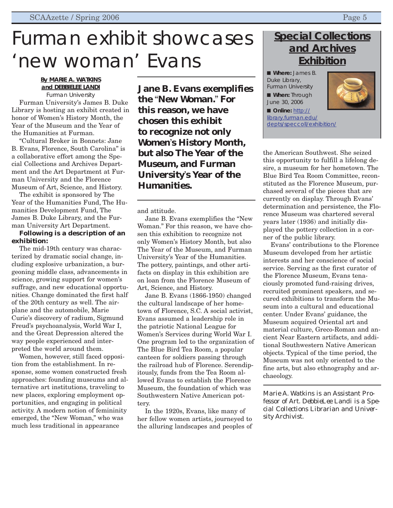## Furman exhibit showcases 'new woman' Evans

#### **By MARIE A. WATKINS and DEBBIELEE LANDI** *Furman University*

Furman University's James B. Duke Library is hosting an exhibit created in honor of Women's History Month, the Year of the Museum and the Year of the Humanities at Furman.

"Cultural Broker in Bonnets: Jane B. Evans, Florence, South Carolina" is a collaborative effort among the Special Collections and Archives Department and the Art Department at Furman University and the Florence Museum of Art, Science, and History.

The exhibit is sponsored by The Year of the Humanities Fund, The Humanities Development Fund, The James B. Duke Library, and the Furman University Art Department.

#### **Following is a description of an exhibition:**

The mid-19th century was characterized by dramatic social change, including explosive urbanization, a burgeoning middle class, advancements in science, growing support for women's suffrage, and new educational opportunities. Change dominated the first half of the 20th century as well. The airplane and the automobile, Marie Curie's discovery of radium, Sigmund Freud's psychoanalysis, World War I, and the Great Depression altered the way people experienced and interpreted the world around them.

Women, however, still faced opposition from the establishment. In response, some women constructed fresh approaches: founding museums and alternative art institutions, traveling to new places, exploring employment opportunities, and engaging in political activity. A modern notion of femininity emerged, the "New Woman," who was much less traditional in appearance

**Jane B. Evans exemplifies the** "**New Woman.**" **For this reason, we have chosen this exhibit to recognize not only Women**'**s History Month, but also The Year of the Museum, and Furman University**'**s Year of the Humanities.**

and attitude.

Jane B. Evans exemplifies the "New Woman." For this reason, we have chosen this exhibition to recognize not only Women's History Month, but also The Year of the Museum, and Furman University's Year of the Humanities. The pottery, paintings, and other artifacts on display in this exhibition are on loan from the Florence Museum of Art, Science, and History.

Jane B. Evans (1866-1950) changed the cultural landscape of her hometown of Florence, S.C. A social activist, Evans assumed a leadership role in the patriotic National League for Women's Services during World War I. One program led to the organization of The Blue Bird Tea Room, a popular canteen for soldiers passing through the railroad hub of Florence. Serendipitously, funds from the Tea Room allowed Evans to establish the Florence Museum, the foundation of which was Southwestern Native American pottery.

In the 1920s, Evans, like many of her fellow women artists, journeyed to the alluring landscapes and peoples of

## **Special Collections and Archives Exhibition**

■ **Where:** James B. Duke Library, Furman University ■ **When:** Through June 30, 2006



■ **Online: http://** library.furman.edu/ [depts/speccoll/exhibition/](http://library.furman.edu/depts/speccoll/exhibition/)

the American Southwest. She seized this opportunity to fulfill a lifelong desire, a museum for her hometown. The Blue Bird Tea Room Committee, reconstituted as the Florence Museum, purchased several of the pieces that are currently on display. Through Evans' determination and persistence, the Florence Museum was chartered several years later (1936) and initially displayed the pottery collection in a corner of the public library.

Evans' contributions to the Florence Museum developed from her artistic interests and her conscience of social service. Serving as the first curator of the Florence Museum, Evans tenaciously promoted fund-raising drives, recruited prominent speakers, and secured exhibitions to transform the Museum into a cultural and educational center. Under Evans' guidance, the Museum acquired Oriental art and material culture, Greco-Roman and ancient Near Eastern artifacts, and additional Southwestern Native American objects. Typical of the time period, the Museum was not only oriented to the fine arts, but also ethnography and archaeology.

*Marie A. Watkins is an Assistant Professor of Art. DebbieLee Landi is a Special Collections Librarian and University Archivist.*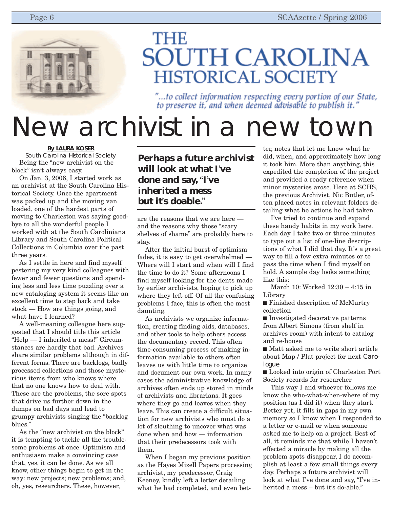

## **THE SOUTH CAROLINA HISTORICAL SOCIETY**

"...to collect information respecting every portion of our State, to preserve it, and when deemed advisable to publish it.'

# New archivist in a new town

#### **By LAURA KOSER**

*South Carolina Historical Society* Being the "new archivist on the block" isn't always easy.

On Jan. 3, 2006, I started work as an archivist at the South Carolina Historical Society. Once the apartment was packed up and the moving van loaded, one of the hardest parts of moving to Charleston was saying goodbye to all the wonderful people I worked with at the South Caroliniana Library and South Carolina Political Collections in Columbia over the past three years.

As I settle in here and find myself pestering my very kind colleagues with fewer and fewer questions and spending less and less time puzzling over a new cataloging system it seems like an excellent time to step back and take stock — How are things going, and what have I learned?

A well-meaning colleague here suggested that I should title this article "Help — I inherited a mess!" Circumstances are hardly that bad. Archives share similar problems although in different forms. There are backlogs, badly processed collections and those mysterious items from who knows where that no one knows how to deal with. These are the problems, the sore spots that drive us further down in the dumps on bad days and lead to grumpy archivists singing the "backlog blues."

As the "new archivist on the block" it is tempting to tackle all the troublesome problems at once. Optimism and enthusiasm make a convincing case that, yes, it can be done. As we all know, other things begin to get in the way: new projects; new problems; and, oh, yes, researchers. These, however,

### **Perhaps a future archivist will look at what I**'**ve done and say,** "**I**'**ve inherited a mess but it**'**s doable.**"

are the reasons that we are here and the reasons why those "scary shelves of shame" are probably here to stay.

After the initial burst of optimism fades, it is easy to get overwhelmed — Where will I start and when will I find the time to do it? Some afternoons I find myself looking for the dents made by earlier archivists, hoping to pick up where they left off. Of all the confusing problems I face, this is often the most daunting.

As archivists we organize information, creating finding aids, databases, and other tools to help others access the documentary record. This often time-consuming process of making information available to others often leaves us with little time to organize and document our own work. In many cases the administrative knowledge of archives often ends up stored in minds of archivists and librarians. It goes where they go and leaves when they leave. This can create a difficult situation for new archivists who must do a lot of sleuthing to uncover what was done when and how — information that their predecessors took with them.

When I began my previous position as the Hayes Mizell Papers processing archivist, my predecessor, Craig Keeney, kindly left a letter detailing what he had completed, and even better, notes that let me know what he did, when, and approximately how long it took him. More than anything, this expedited the completion of the project and provided a ready reference when minor mysteries arose. Here at SCHS, the previous Archivist, Nic Butler, often placed notes in relevant folders detailing what he actions he had taken.

I've tried to continue and expand these handy habits in my work here. Each day I take two or three minutes to type out a list of one-line descriptions of what I did that day. It's a great way to fill a few extra minutes or to pass the time when I find myself on hold. A sample day looks something like this:

March 10: Worked 12:30 – 4:15 in Library

■ Finished description of McMurtry collection

■ Investigated decorative patterns from Albert Simons (from shelf in archives room) with intent to catalog and re-house

■ Matt asked me to write short article about Map / Plat project for next *Carologue*

■ Looked into origin of Charleston Port Society records for researcher

This way I and whoever follows me know the who-what-when-where of my position (as I did it) when they start. Better yet, it fills in gaps in my own memory so I know when I responded to a letter or e-mail or when someone asked me to help on a project. Best of all, it reminds me that while I haven't effected a miracle by making all the problem spots disappear, I do accomplish at least a few small things every day. Perhaps a future archivist will look at what I've done and say, "I've inherited a mess – but it's do-able."